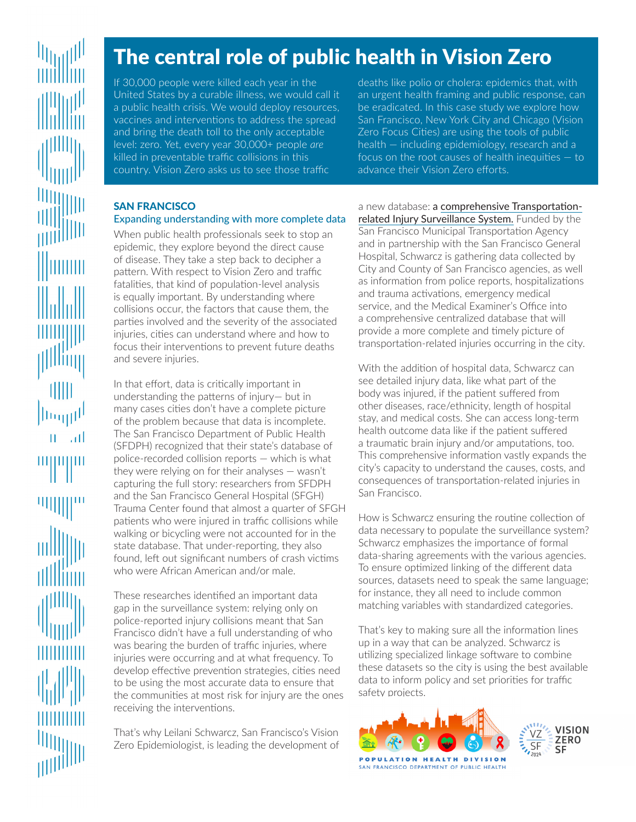# The central role of public health in Vision Zero

If 30,000 people were killed each year in the United States by a curable illness, we would call it a public health crisis. We would deploy resources, vaccines and interventions to address the spread and bring the death toll to the only acceptable level: zero. Yet, every year 30,000+ people *are* killed in preventable traffic collisions in this country. Vision Zero asks us to see those traffic

deaths like polio or cholera: epidemics that, with an urgent health framing and public response, can be eradicated. In this case study we explore how San Francisco, New York City and Chicago (Vision Zero Focus Cities) are using the tools of public health — including epidemiology, research and a focus on the root causes of health inequities — to advance their Vision Zero efforts.

## SAN FRANCISCO

# Expanding understanding with more complete data

When public health professionals seek to stop an epidemic, they explore beyond the direct cause of disease. They take a step back to decipher a pattern. With respect to Vision Zero and traffic fatalities, that kind of population-level analysis is equally important. By understanding where collisions occur, the factors that cause them, the parties involved and the severity of the associated injuries, cities can understand where and how to focus their interventions to prevent future deaths and severe injuries.

In that effort, data is critically important in understanding the patterns of injury— but in many cases cities don't have a complete picture of the problem because that data is incomplete. The San Francisco Department of Public Health (SFDPH) recognized that their state's database of police-recorded collision reports — which is what they were relying on for their analyses — wasn't capturing the full story: researchers from SFDPH and the San Francisco General Hospital (SFGH) Trauma Center found that almost a quarter of SFGH patients who were injured in traffic collisions while walking or bicycling were not accounted for in the state database. That under-reporting, they also found, left out significant numbers of crash victims who were African American and/or male.

These researches identified an important data gap in the surveillance system: relying only on police-reported injury collisions meant that San Francisco didn't have a full understanding of who was bearing the burden of traffic injuries, where injuries were occurring and at what frequency. To develop effective prevention strategies, cities need to be using the most accurate data to ensure that the communities at most risk for injury are the ones receiving the interventions.

That's why Leilani Schwarcz, San Francisco's Vision Zero Epidemiologist, is leading the development of

a new database: a [comprehensive Transportation](http://visionzeronetwork.org/wp-content/uploads/2016/04/DPH_TISS.pdf)[related Injury Surveillance System.](http://visionzeronetwork.org/wp-content/uploads/2016/04/DPH_TISS.pdf) Funded by the San Francisco Municipal Transportation Agency and in partnership with the San Francisco General Hospital, Schwarcz is gathering data collected by City and County of San Francisco agencies, as well as information from police reports, hospitalizations and trauma activations, emergency medical service, and the Medical Examiner's Office into a comprehensive centralized database that will provide a more complete and timely picture of transportation-related injuries occurring in the city.

With the addition of hospital data, Schwarcz can see detailed injury data, like what part of the body was injured, if the patient suffered from other diseases, race/ethnicity, length of hospital stay, and medical costs. She can access long-term health outcome data like if the patient suffered a traumatic brain injury and/or amputations, too. This comprehensive information vastly expands the city's capacity to understand the causes, costs, and consequences of transportation-related injuries in San Francisco.

How is Schwarcz ensuring the routine collection of data necessary to populate the surveillance system? Schwarcz emphasizes the importance of formal data-sharing agreements with the various agencies. To ensure optimized linking of the different data sources, datasets need to speak the same language; for instance, they all need to include common matching variables with standardized categories.

That's key to making sure all the information lines up in a way that can be analyzed. Schwarcz is utilizing specialized linkage software to combine these datasets so the city is using the best available data to inform policy and set priorities for traffic safety projects.

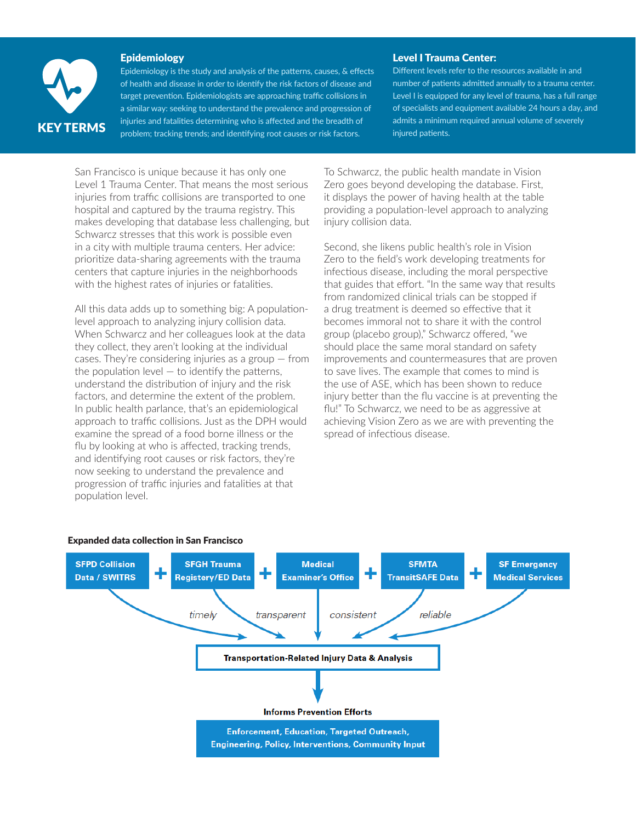

#### Epidemiology

Epidemiology is the study and analysis of the patterns, causes, & effects of health and disease in order to identify the risk factors of disease and target prevention. Epidemiologists are approaching traffic collisions in a similar way: seeking to understand the prevalence and progression of **KEY TERMS** injuries and fatalities determining who is affected and the breadth of problem; tracking trends; and identifying root causes or risk factors.

#### Level I Trauma Center:

Different levels refer to the resources available in and number of patients admitted annually to a trauma center. Level I is equipped for any level of trauma, has a full range of specialists and equipment available 24 hours a day, and admits a minimum required annual volume of severely injured patients.

San Francisco is unique because it has only one Level 1 Trauma Center. That means the most serious injuries from traffic collisions are transported to one hospital and captured by the trauma registry. This makes developing that database less challenging, but Schwarcz stresses that this work is possible even in a city with multiple trauma centers. Her advice: prioritize data-sharing agreements with the trauma centers that capture injuries in the neighborhoods with the highest rates of injuries or fatalities.

All this data adds up to something big: A populationlevel approach to analyzing injury collision data. When Schwarcz and her colleagues look at the data they collect, they aren't looking at the individual cases. They're considering injuries as a group — from the population level  $-$  to identify the patterns, understand the distribution of injury and the risk factors, and determine the extent of the problem. In public health parlance, that's an epidemiological approach to traffic collisions. Just as the DPH would examine the spread of a food borne illness or the flu by looking at who is affected, tracking trends, and identifying root causes or risk factors, they're now seeking to understand the prevalence and progression of traffic injuries and fatalities at that population level.

To Schwarcz, the public health mandate in Vision Zero goes beyond developing the database. First, it displays the power of having health at the table providing a population-level approach to analyzing injury collision data.

Second, she likens public health's role in Vision Zero to the field's work developing treatments for infectious disease, including the moral perspective that guides that effort. "In the same way that results from randomized clinical trials can be stopped if a drug treatment is deemed so effective that it becomes immoral not to share it with the control group (placebo group)," Schwarcz offered, "we should place the same moral standard on safety improvements and countermeasures that are proven to save lives. The example that comes to mind is the use of ASE, which has been shown to reduce injury better than the flu vaccine is at preventing the flu!" To Schwarcz, we need to be as aggressive at achieving Vision Zero as we are with preventing the spread of infectious disease.



#### [Expanded data collection in San Francisco](http://visionzeronetwork.org/wp-content/uploads/2016/04/DPH_TISS.pdf)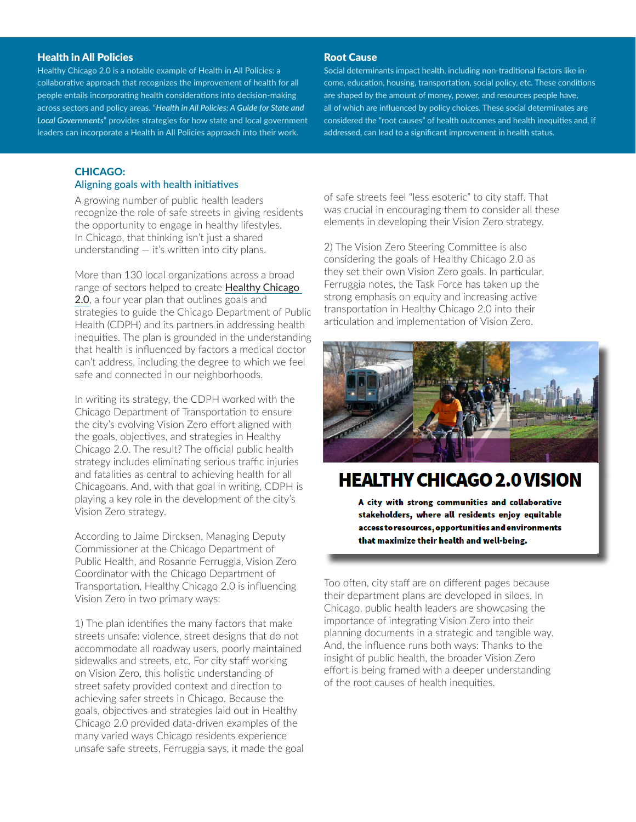#### Health in All Policies

Healthy Chicago 2.0 is a notable example of Health in All Policies: a collaborative approach that recognizes the improvement of health for all people entails incorporating health considerations into decision-making across sectors and policy areas. "*[Health in All Policies: A Guide for State and](http://www.phi.org/uploads/files/Health_in_All_Policies-A_Guide_for_State_and_Local_Governments.pdf)  [Local Governments](http://www.phi.org/uploads/files/Health_in_All_Policies-A_Guide_for_State_and_Local_Governments.pdf)*" provides strategies for how state and local government leaders can incorporate a Health in All Policies approach into their work.

#### Root Cause

Social determinants impact health, including non-traditional factors like income, education, housing, transportation, social policy, etc. These conditions are shaped by the amount of money, power, and resources people have, all of which are influenced by policy choices. These social determinates are considered the "root causes" of health outcomes and health inequities and, if addressed, can lead to a significant improvement in health status.

### CHICAGO:

#### Aligning goals with health initiatives

A growing number of public health leaders recognize the role of safe streets in giving residents the opportunity to engage in healthy lifestyles. In Chicago, that thinking isn't just a shared understanding — it's written into city plans.

More than 130 local organizations across a broad range of sectors helped to create **Healthy Chicago** [2.0](http://www.cityofchicago.org/city/en/depts/cdph/provdrs/healthychicago/svcs/healthy-chicago-2-0--community-health-assessment-and-improvement.html), a four year plan that outlines goals and strategies to guide the Chicago Department of Public Health (CDPH) and its partners in addressing health inequities. The plan is grounded in the understanding that health is influenced by factors a medical doctor can't address, including the degree to which we feel safe and connected in our neighborhoods.

In writing its strategy, the CDPH worked with the Chicago Department of Transportation to ensure the city's evolving Vision Zero effort aligned with the goals, objectives, and strategies in Healthy Chicago 2.0. The result? The official public health strategy includes eliminating serious traffic injuries and fatalities as central to achieving health for all Chicagoans. And, with that goal in writing, CDPH is playing a key role in the development of the city's Vision Zero strategy.

According to Jaime Dircksen, Managing Deputy Commissioner at the Chicago Department of Public Health, and Rosanne Ferruggia, Vision Zero Coordinator with the Chicago Department of Transportation, Healthy Chicago 2.0 is influencing Vision Zero in two primary ways:

1) The plan identifies the many factors that make streets unsafe: violence, street designs that do not accommodate all roadway users, poorly maintained sidewalks and streets, etc. For city staff working on Vision Zero, this holistic understanding of street safety provided context and direction to achieving safer streets in Chicago. Because the goals, objectives and strategies laid out in Healthy Chicago 2.0 provided data-driven examples of the many varied ways Chicago residents experience unsafe safe streets, Ferruggia says, it made the goal of safe streets feel "less esoteric" to city staff. That was crucial in encouraging them to consider all these elements in developing their Vision Zero strategy.

2) The Vision Zero Steering Committee is also considering the goals of Healthy Chicago 2.0 as they set their own Vision Zero goals. In particular, Ferruggia notes, the Task Force has taken up the strong emphasis on equity and increasing active transportation in Healthy Chicago 2.0 into their articulation and implementation of Vision Zero.



# **HEALTHY CHICAGO 2.0 VISION**

A city with strong communities and collaborative stakeholders, where all residents enjoy equitable access to resources, opportunities and environments that maximize their health and well-being.

Too often, city staff are on different pages because their department plans are developed in siloes. In Chicago, public health leaders are showcasing the importance of integrating Vision Zero into their planning documents in a strategic and tangible way. And, the influence runs both ways: Thanks to the insight of public health, the broader Vision Zero effort is being framed with a deeper understanding of the root causes of health inequities.